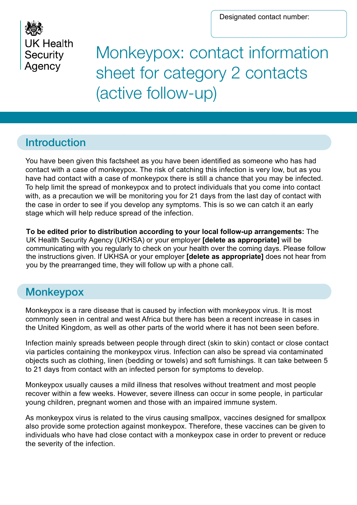

# Monkeypox: contact information sheet for category 2 contacts (active follow-up)

#### Introduction

You have been given this factsheet as you have been identified as someone who has had contact with a case of monkeypox. The risk of catching this infection is very low, but as you have had contact with a case of monkeypox there is still a chance that you may be infected. To help limit the spread of monkeypox and to protect individuals that you come into contact with, as a precaution we will be monitoring you for 21 days from the last day of contact with the case in order to see if you develop any symptoms. This is so we can catch it an early stage which will help reduce spread of the infection.

**To be edited prior to distribution according to your local follow-up arrangements:** The UK Health Security Agency (UKHSA) or your employer **[delete as appropriate]** will be communicating with you regularly to check on your health over the coming days. Please follow the instructions given. If UKHSA or your employer **[delete as appropriate]** does not hear from you by the prearranged time, they will follow up with a phone call.

## **Monkeypox**

Monkeypox is a rare disease that is caused by infection with monkeypox virus. It is most commonly seen in central and west Africa but there has been a recent increase in cases in the United Kingdom, as well as other parts of the world where it has not been seen before.

Infection mainly spreads between people through direct (skin to skin) contact or close contact via particles containing the monkeypox virus. Infection can also be spread via contaminated objects such as clothing, linen (bedding or towels) and soft furnishings. It can take between 5 to 21 days from contact with an infected person for symptoms to develop.

Monkeypox usually causes a mild illness that resolves without treatment and most people recover within a few weeks. However, severe illness can occur in some people, in particular young children, pregnant women and those with an impaired immune system.

As monkeypox virus is related to the virus causing smallpox, vaccines designed for smallpox also provide some protection against monkeypox. Therefore, these vaccines can be given to individuals who have had close contact with a monkeypox case in order to prevent or reduce the severity of the infection.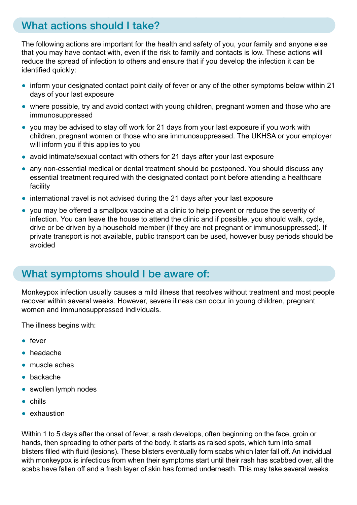### What actions should I take?

The following actions are important for the health and safety of you, your family and anyone else that you may have contact with, even if the risk to family and contacts is low. These actions will reduce the spread of infection to others and ensure that if you develop the infection it can be identified quickly:

- inform your designated contact point daily of fever or any of the other symptoms below within 21 days of your last exposure
- where possible, try and avoid contact with young children, pregnant women and those who are immunosuppressed
- you may be advised to stay off work for 21 days from your last exposure if you work with children, pregnant women or those who are immunosuppressed. The UKHSA or your employer will inform you if this applies to you
- avoid intimate/sexual contact with others for 21 days after your last exposure
- any non-essential medical or dental treatment should be postponed. You should discuss any essential treatment required with the designated contact point before attending a healthcare facility
- international travel is not advised during the 21 days after your last exposure
- you may be offered a smallpox vaccine at a clinic to help prevent or reduce the severity of infection. You can leave the house to attend the clinic and if possible, you should walk, cycle, drive or be driven by a household member (if they are not pregnant or immunosuppressed). If private transport is not available, public transport can be used, however busy periods should be avoided

#### What symptoms should I be aware of:

Monkeypox infection usually causes a mild illness that resolves without treatment and most people recover within several weeks. However, severe illness can occur in young children, pregnant women and immunosuppressed individuals.

The illness begins with:

- fever
- headache
- muscle aches
- backache
- swollen lymph nodes
- chills
- exhaustion

Within 1 to 5 days after the onset of fever, a rash develops, often beginning on the face, groin or hands, then spreading to other parts of the body. It starts as raised spots, which turn into small blisters filled with fluid (lesions). These blisters eventually form scabs which later fall off. An individual with monkeypox is infectious from when their symptoms start until their rash has scabbed over, all the scabs have fallen off and a fresh layer of skin has formed underneath. This may take several weeks.